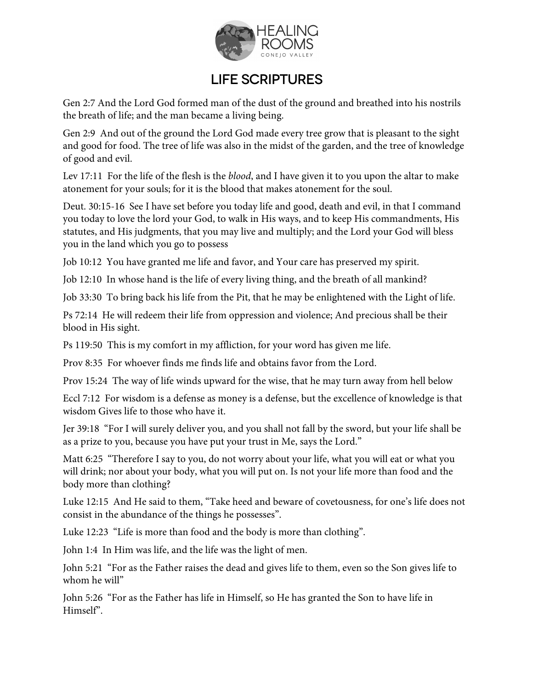

## Life Scriptures

Gen 2:7 And the Lord God formed man of the dust of the ground and breathed into his nostrils the breath of life; and the man became a living being.

Gen 2:9 And out of the ground the Lord God made every tree grow that is pleasant to the sight and good for food. The tree of life was also in the midst of the garden, and the tree of knowledge of good and evil.

Lev 17:11 For the life of the flesh is the *blood*, and I have given it to you upon the altar to make atonement for your souls; for it is the blood that makes atonement for the soul.

Deut. 30:15-16 See I have set before you today life and good, death and evil, in that I command you today to love the lord your God, to walk in His ways, and to keep His commandments, His statutes, and His judgments, that you may live and multiply; and the Lord your God will bless you in the land which you go to possess

Job 10:12 You have granted me life and favor, and Your care has preserved my spirit.

Job 12:10 In whose hand is the life of every living thing, and the breath of all mankind?

Job 33:30 To bring back his life from the Pit, that he may be enlightened with the Light of life.

Ps 72:14 He will redeem their life from oppression and violence; And precious shall be their blood in His sight.

Ps 119:50 This is my comfort in my affliction, for your word has given me life.

Prov 8:35 For whoever finds me finds life and obtains favor from the Lord.

Prov 15:24 The way of life winds upward for the wise, that he may turn away from hell below

Eccl 7:12 For wisdom is a defense as money is a defense, but the excellence of knowledge is that wisdom Gives life to those who have it.

Jer 39:18 "For I will surely deliver you, and you shall not fall by the sword, but your life shall be as a prize to you, because you have put your trust in Me, says the Lord."

Matt 6:25 "Therefore I say to you, do not worry about your life, what you will eat or what you will drink; nor about your body, what you will put on. Is not your life more than food and the body more than clothing?

Luke 12:15 And He said to them, "Take heed and beware of covetousness, for one's life does not consist in the abundance of the things he possesses".

Luke 12:23 "Life is more than food and the body is more than clothing".

John 1:4 In Him was life, and the life was the light of men.

John 5:21 "For as the Father raises the dead and gives life to them, even so the Son gives life to whom he will"

John 5:26 "For as the Father has life in Himself, so He has granted the Son to have life in Himself".